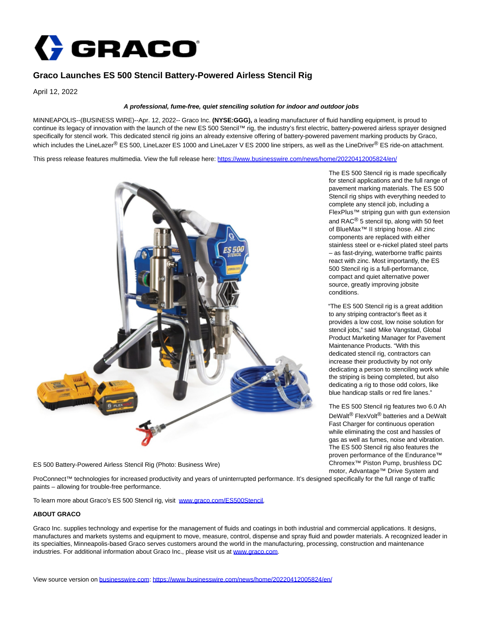

## **Graco Launches ES 500 Stencil Battery-Powered Airless Stencil Rig**

April 12, 2022

## **A professional, fume-free, quiet stenciling solution for indoor and outdoor jobs**

MINNEAPOLIS--(BUSINESS WIRE)--Apr. 12, 2022-- Graco Inc. **(NYSE:GGG),** a leading manufacturer of fluid handling equipment, is proud to continue its legacy of innovation with the launch of the new ES 500 Stencil™ rig, the industry's first electric, battery-powered airless sprayer designed specifically for stencil work. This dedicated stencil rig joins an already extensive offering of battery-powered pavement marking products by Graco, which includes the LineLazer® ES 500, LineLazer ES 1000 and LineLazer V ES 2000 line stripers, as well as the LineDriver® ES ride-on attachment.

This press release features multimedia. View the full release here:<https://www.businesswire.com/news/home/20220412005824/en/>



ES 500 Battery-Powered Airless Stencil Rig (Photo: Business Wire)

The ES 500 Stencil rig is made specifically for stencil applications and the full range of pavement marking materials. The ES 500 Stencil rig ships with everything needed to complete any stencil job, including a FlexPlus™ striping gun with gun extension and RAC® 5 stencil tip, along with 50 feet of BlueMax™ II striping hose. All zinc components are replaced with either stainless steel or e-nickel plated steel parts – as fast-drying, waterborne traffic paints react with zinc. Most importantly, the ES 500 Stencil rig is a full-performance, compact and quiet alternative power source, greatly improving jobsite conditions.

"The ES 500 Stencil rig is a great addition to any striping contractor's fleet as it provides a low cost, low noise solution for stencil jobs," said Mike Vangstad, Global Product Marketing Manager for Pavement Maintenance Products. "With this dedicated stencil rig, contractors can increase their productivity by not only dedicating a person to stenciling work while the striping is being completed, but also dedicating a rig to those odd colors, like blue handicap stalls or red fire lanes."

The ES 500 Stencil rig features two 6.0 Ah DeWalt® FlexVolt® batteries and a DeWalt Fast Charger for continuous operation while eliminating the cost and hassles of gas as well as fumes, noise and vibration. The ES 500 Stencil rig also features the proven performance of the Endurance™ Chromex™ Piston Pump, brushless DC motor, Advantage™ Drive System and

ProConnect<sup>™</sup> technologies for increased productivity and years of uninterrupted performance. It's designed specifically for the full range of traffic paints – allowing for trouble-free performance.

To learn more about Graco's ES 500 Stencil rig, visit [www.graco.com/ES500Stencil.](https://cts.businesswire.com/ct/CT?id=smartlink&url=http%3A%2F%2Fwww.graco.com%2FES500Stencil&esheet=52683885&newsitemid=20220412005824&lan=en-US&anchor=www.graco.com%2FES500Stencil&index=1&md5=c0779d0b4ba727357450310232b4044b)

## **ABOUT GRACO**

Graco Inc. supplies technology and expertise for the management of fluids and coatings in both industrial and commercial applications. It designs, manufactures and markets systems and equipment to move, measure, control, dispense and spray fluid and powder materials. A recognized leader in its specialties, Minneapolis-based Graco serves customers around the world in the manufacturing, processing, construction and maintenance industries. For additional information about Graco Inc., please visit us at [www.graco.com.](https://cts.businesswire.com/ct/CT?id=smartlink&url=http%3A%2F%2Fwww.graco.com&esheet=52683885&newsitemid=20220412005824&lan=en-US&anchor=www.graco.com&index=2&md5=4fb0335654b8196625f179ac2160c498)